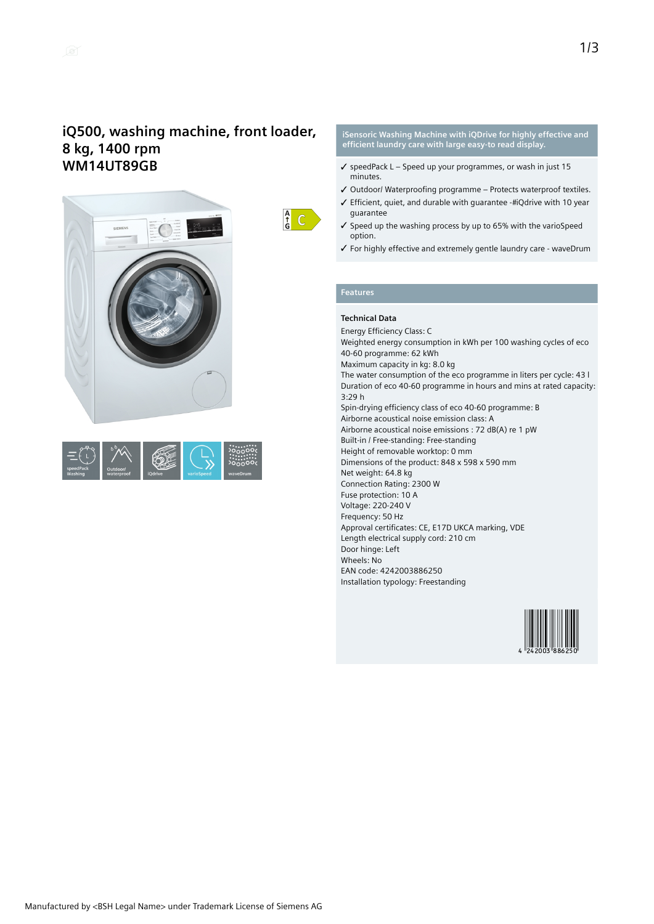# **iQ500, washing machine, front loader, 8 kg, 1400 rpm WM14UT89GB**





 $\frac{A}{G}$   $C$ 

#### **iSensoric Washing Machine with iQDrive for highly effective and efficient laundry care with large easy-to read display.**

- $\checkmark$  speedPack L Speed up your programmes, or wash in just 15 minutes.
- ✓ Outdoor/ Waterproofing programme Protects waterproof textiles.
- ✓ Efficient, quiet, and durable with guarantee iQdrive with 10 year guarantee
- ✓ Speed up the washing process by up to 65% with the varioSpeed option.
- ✓ For highly effective and extremely gentle laundry care waveDrum

#### **Features**

### **Technical Data**

Energy Efficiency Class: C Weighted energy consumption in kWh per 100 washing cycles of eco 40-60 programme: 62 kWh Maximum capacity in kg: 8.0 kg The water consumption of the eco programme in liters per cycle: 43 l Duration of eco 40-60 programme in hours and mins at rated capacity: 3:29 h Spin-drying efficiency class of eco 40-60 programme: B Airborne acoustical noise emission class: A Airborne acoustical noise emissions : 72 dB(A) re 1 pW Built-in / Free-standing: Free-standing Height of removable worktop: 0 mm Dimensions of the product: 848 x 598 x 590 mm Net weight: 64.8 kg Connection Rating: 2300 W Fuse protection: 10 A Voltage: 220-240 V Frequency: 50 Hz Approval certificates: CE, E17D UKCA marking, VDE Length electrical supply cord: 210 cm Door hinge: Left Wheels: No EAN code: 4242003886250 Installation typology: Freestanding

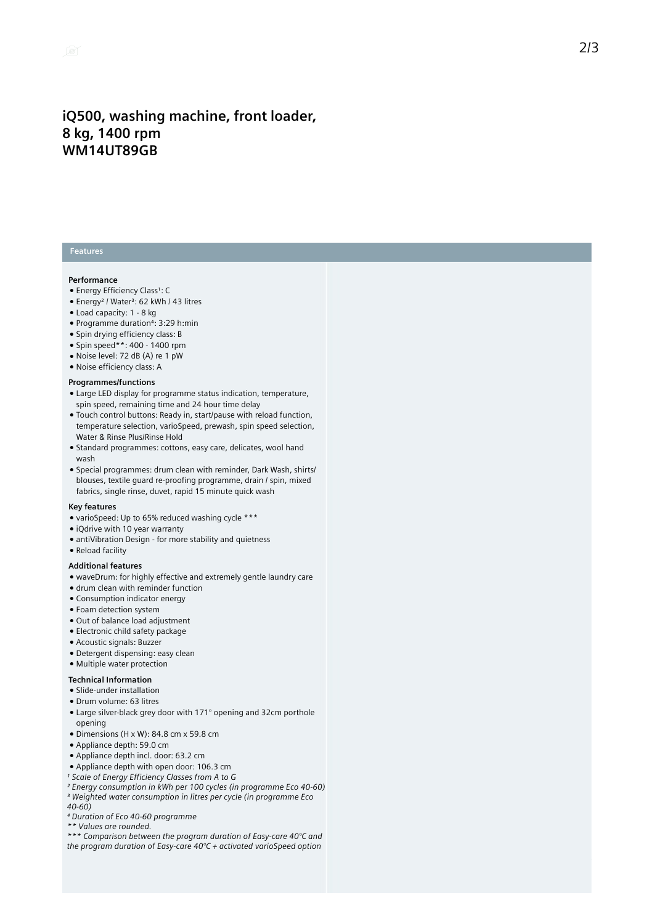## iQ500, washing machine, front loader, **8 k g , 1 4 0 0 r p m WM14UT89GB**

### **Features**

#### **Performance**

- Energy Efficiency Class1: C
- Energy<sup>2</sup> / Water<sup>3</sup>: 62 kWh / 43 litres
- Load capacity: 1 8 kg
- Programme duration<sup>4</sup>: 3:29 h:min
- Spin drying efficiency class: B
- Spin speed\*\*: 400 1400 rpm
- Noise level: 72 dB (A) re 1 pW
- Noise efficiency class: A

#### **Programmes/functions**

- Large LED display for programme status indication, temperature, spin speed, remaining time and 24 hour time delay
- Touch control buttons: Ready in, start/pause with reload function, temperature selection, varioSpeed, prewash, spin speed selection, Water & Rinse Plus/Rinse Hold
- Standard programmes: cottons, easy care, delicates, wool hand w a s h
- Special programmes: drum clean with reminder, Dark Wash, shirts/ blouses, textile guard re-proofing programme, drain / spin, mixed fabrics, single rinse, duvet, rapid 15 minute quick wash

#### **K e y f e a t u r e s**

- varioSpeed: Up to 65% reduced washing cycle \*\*\*
- iQdrive with 10 year warranty
- antiVibration Design for more stability and quietness
- Reload facility

#### **Additional featu r e s**

- waveDrum: for highly effective and extremely gentle laundry care
- drum clean with reminder function
- Consumption indicator energy
- Foam detection system
- Out of balance load adjustment
- Electronic child safety package
- Acoustic signals: Buzzer
- Detergent dispensing: easy clean
- Multiple water protection

#### **Technical Information**

- Slide-under installation
- Drum volume: 63 litres
- Large silver-black grey door with 171° opening and 32cm porthole opening
- Dimensions (H x W): 84.8 cm x 59.8 cm
- Appliance depth: 59.0 cm
- Appliance depth incl. door: 63.2 cm
- Appliance depth with open door: 106.3 cm
- *¹ Scale of Energy Efficiency Classes from A to G*
- *² Energy consumption in kWh per 100 cycles (in programme Eco 40-60) ³ Weighted water consumption in litres per cycle (in programme Eco*
- *40-60)*
- *⁴ Duration of Eco 40-60 programme*
- *\*\* Values are rounded.*

*\*\*\* Comparison between the program duration of Easy-care 40°C and the program duration of Easy-care 40°C + activated varioSpeed option*